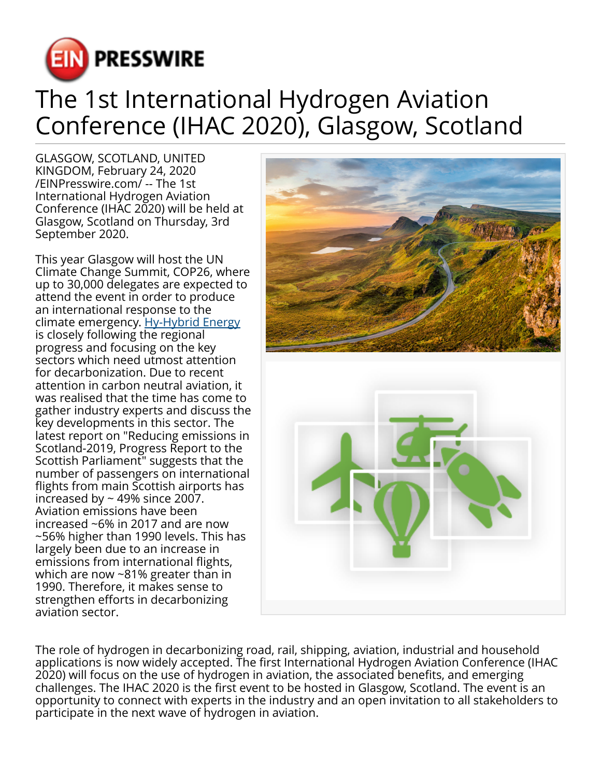

## The 1st International Hydrogen Aviation Conference (IHAC 2020), Glasgow, Scotland

GLASGOW, SCOTLAND, UNITED KINGDOM, February 24, 2020 [/EINPresswire.com/](http://www.einpresswire.com) -- The 1st International Hydrogen Aviation Conference (IHAC 2020) will be held at Glasgow, Scotland on Thursday, 3rd September 2020.

This year Glasgow will host the UN Climate Change Summit, COP26, where up to 30,000 delegates are expected to attend the event in order to produce an international response to the climate emergency. [Hy-Hybrid Energy](https://www.hy-hybrid.com/) is closely following the regional progress and focusing on the key sectors which need utmost attention for decarbonization. Due to recent attention in carbon neutral aviation, it was realised that the time has come to gather industry experts and discuss the key developments in this sector. The latest report on "Reducing emissions in Scotland-2019, Progress Report to the Scottish Parliament" suggests that the number of passengers on international flights from main Scottish airports has increased by  $\sim$  49% since 2007. Aviation emissions have been increased ~6% in 2017 and are now ~56% higher than 1990 levels. This has largely been due to an increase in emissions from international flights, which are now ~81% greater than in 1990. Therefore, it makes sense to strengthen efforts in decarbonizing aviation sector.



The role of hydrogen in decarbonizing road, rail, shipping, aviation, industrial and household applications is now widely accepted. The first International Hydrogen Aviation Conference (IHAC 2020) will focus on the use of hydrogen in aviation, the associated benefits, and emerging challenges. The IHAC 2020 is the first event to be hosted in Glasgow, Scotland. The event is an opportunity to connect with experts in the industry and an open invitation to all stakeholders to participate in the next wave of hydrogen in aviation.